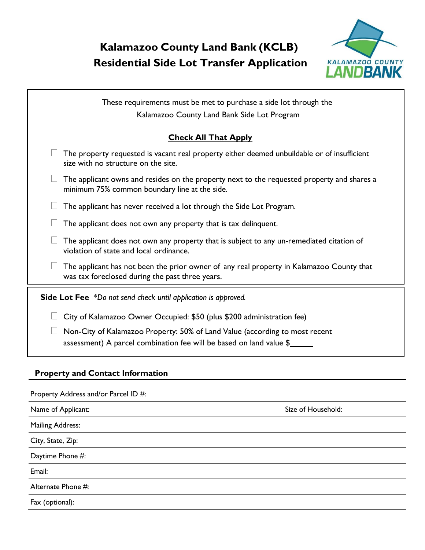## **Kalamazoo County Land Bank (KCLB) Residential Side Lot Transfer Application**



| These requirements must be met to purchase a side lot through the<br>Kalamazoo County Land Bank Side Lot Program                                   |  |  |  |
|----------------------------------------------------------------------------------------------------------------------------------------------------|--|--|--|
| <b>Check All That Apply</b>                                                                                                                        |  |  |  |
| The property requested is vacant real property either deemed unbuildable or of insufficient<br>size with no structure on the site.                 |  |  |  |
| The applicant owns and resides on the property next to the requested property and shares a<br>minimum 75% common boundary line at the side.        |  |  |  |
| The applicant has never received a lot through the Side Lot Program.                                                                               |  |  |  |
| The applicant does not own any property that is tax delinquent.                                                                                    |  |  |  |
| The applicant does not own any property that is subject to any un-remediated citation of<br>violation of state and local ordinance.                |  |  |  |
| The applicant has not been the prior owner of any real property in Kalamazoo County that<br>was tax foreclosed during the past three years.        |  |  |  |
| Side Lot Fee *Do not send check until application is approved.                                                                                     |  |  |  |
| City of Kalamazoo Owner Occupied: \$50 (plus \$200 administration fee)                                                                             |  |  |  |
| Non-City of Kalamazoo Property: 50% of Land Value (according to most recent<br>assessment) A parcel combination fee will be based on land value \$ |  |  |  |
| <b>Property and Contact Information</b>                                                                                                            |  |  |  |
| Property Address and/or Parcel ID #:                                                                                                               |  |  |  |

| Size of Household: |
|--------------------|
|                    |
|                    |
|                    |
|                    |
|                    |
|                    |
|                    |